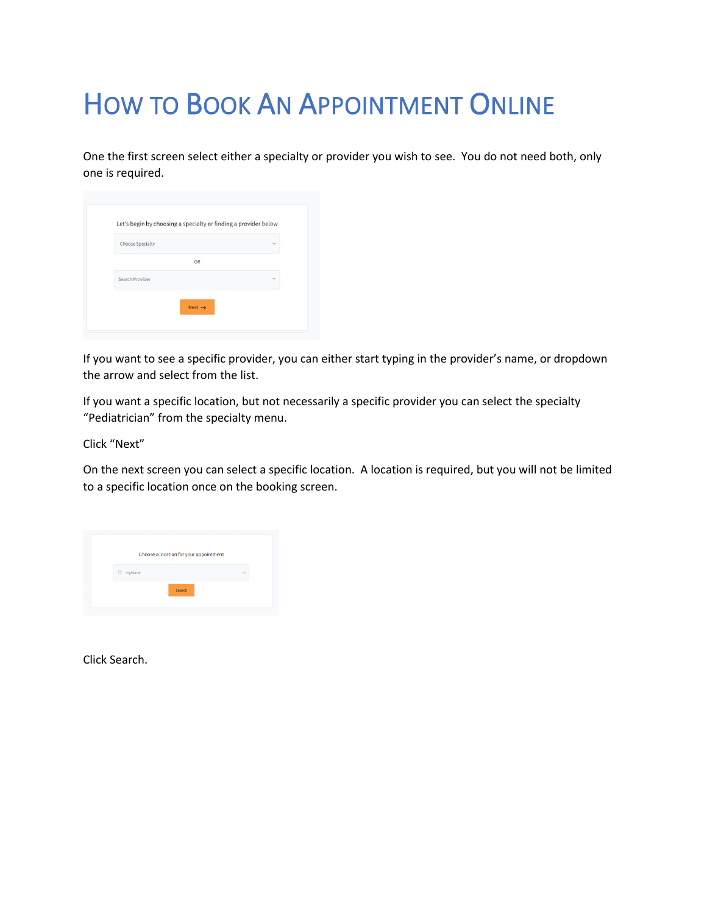## HOW TO BOOK AN APPOINTMENT ONLINE

One the first screen select either a specialty or provider you wish to see. You do not need both, only one is required.

| Choose Specialty | $\checkmark$ |
|------------------|--------------|
| OR               |              |
| Search Provider  | $\checkmark$ |

If you want to see a specific provider, you can either start typing in the provider's name, or dropdown the arrow and select from the list.

If you want a specific location, but not necessarily a specific provider you can select the specialty "Pediatrician" from the specialty menu.

Click "Next"

On the next screen you can select a specific location. A location is required, but you will not be limited to a specific location once on the booking screen.

| Choose a location for your appointment |        |
|----------------------------------------|--------|
| Highland                               | $\sim$ |
| Search                                 |        |

Click Search.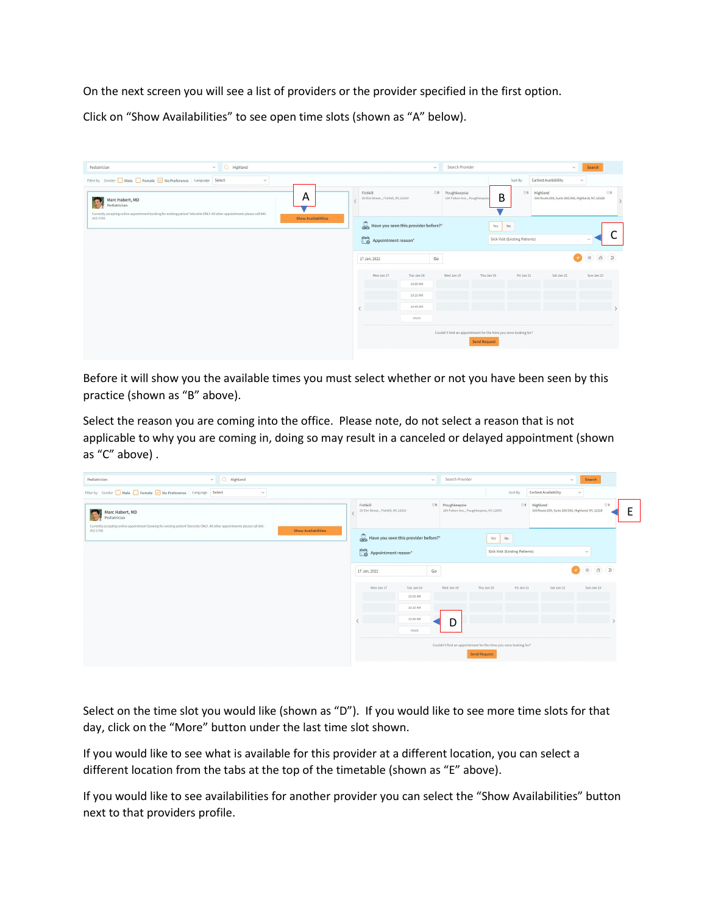On the next screen you will see a list of providers or the provider specified in the first option.

Click on "Show Availabilities" to see open time slots (shown as "A" below).

| $\sim$ Q Highland<br>Pediatrician                                                                                                                                                                                     | Search Provider<br>Search<br>$\sim$<br>$\sim$                                                                                                                                                         |
|-----------------------------------------------------------------------------------------------------------------------------------------------------------------------------------------------------------------------|-------------------------------------------------------------------------------------------------------------------------------------------------------------------------------------------------------|
| Filter by Gender Male Female V No Preference Language Select<br>$\check{~}$                                                                                                                                           | Earliest Availability<br>Sort By<br>$\sim$                                                                                                                                                            |
| A<br>Marc Habert, MD<br>iæ<br>Pediatrician<br>Currently accepting online appointment booking for existing patient Televisits ONLY. All other appointments please call 845-<br><b>Show Availabilities</b><br>452-1700. | $\odot$ 0<br>$\odot$ 0<br>Highland<br>00 Poughkeepsie<br>Fishkill<br>B<br>29 Elm Street, , Fishkill, NY, 12524<br>104 Fulton Ave, , Poughkeepsie<br>550 Route 299, Suite 200/300, Highland, NY, 12528 |
|                                                                                                                                                                                                                       | Have you seen this provider before?*<br>Yes<br>No<br>Appointment reason*<br>Sick Visit (Existing Patients)                                                                                            |
|                                                                                                                                                                                                                       | 第80<br>Go<br>17 Jan, 2022                                                                                                                                                                             |
|                                                                                                                                                                                                                       | Wed Jan 19<br>Thu Jan 20<br>Fri Jan 21<br>Sat Jan 22<br>Sun Jan 23<br>Mon Jan 17<br>Tue Jan 18<br>10:00 AM                                                                                            |
|                                                                                                                                                                                                                       | 10:10 AM                                                                                                                                                                                              |
|                                                                                                                                                                                                                       | 10:40 AM<br>more                                                                                                                                                                                      |
|                                                                                                                                                                                                                       | Couldn't find an appointment for the time you were looking for?<br><b>Send Request</b>                                                                                                                |

Before it will show you the available times you must select whether or not you have been seen by this practice (shown as "B" above).

Select the reason you are coming into the office. Please note, do not select a reason that is not applicable to why you are coming in, doing so may result in a canceled or delayed appointment (shown as "C" above) .

| Pediatrician                                                                                                                                                    | $\sim$ Q Highland | $\sim$                                           |                                                              |                                                                 | Search Provider     |                                                                        | $\sim$                | Search                                                                                                |
|-----------------------------------------------------------------------------------------------------------------------------------------------------------------|-------------------|--------------------------------------------------|--------------------------------------------------------------|-----------------------------------------------------------------|---------------------|------------------------------------------------------------------------|-----------------------|-------------------------------------------------------------------------------------------------------|
| Filter by Gender Male Female Mo Preference Language Select                                                                                                      | $\check{~}$       |                                                  |                                                              |                                                                 |                     | Sort By                                                                | Earliest Availability | $\checkmark$                                                                                          |
| Marc Habert, MD<br>Pediatrician<br>Currently accepting online appointment booking for existing patient Televisits ONLY. All other appointments please call 845- |                   | Fishkill<br>29 Elm Street, , Fishkill, NY, 12524 | 00 Poughkeepsie<br>104 Fulton Ave, , Poughkeepsie, NY, 12603 |                                                                 |                     | 00 Highland<br>00<br>550 Route 299, Suite 200/300, Highland, NY, 12528 |                       |                                                                                                       |
| 452-1700.                                                                                                                                                       |                   | <b>Show Availabilities</b>                       |                                                              | Have you seen this provider before?*                            |                     | Yes<br><b>No</b>                                                       |                       |                                                                                                       |
|                                                                                                                                                                 |                   |                                                  | Appointment reason*                                          |                                                                 |                     | Sick Visit (Existing Patients)                                         |                       | $\checkmark$                                                                                          |
|                                                                                                                                                                 |                   |                                                  | 17 Jan, 2022                                                 | Go                                                              |                     |                                                                        |                       | $\begin{tabular}{ c c c c } \hline \mbox{\#} & $\mathcal{B}$ & $\mathcal{D}$ \\ \hline \end{tabular}$ |
|                                                                                                                                                                 |                   |                                                  | Mon Jan 17                                                   | Tue Jan 18<br>10:00 AM                                          | Wed Jan 19          | Fri Jan 21<br>Thu Jan 20                                               | Sat Jan 22            | Sun Jan 23                                                                                            |
|                                                                                                                                                                 |                   |                                                  |                                                              | 10:10 AM                                                        |                     |                                                                        |                       |                                                                                                       |
|                                                                                                                                                                 |                   |                                                  |                                                              | 10:40 AM                                                        | D                   |                                                                        |                       |                                                                                                       |
|                                                                                                                                                                 |                   |                                                  |                                                              | more                                                            |                     |                                                                        |                       |                                                                                                       |
|                                                                                                                                                                 |                   |                                                  |                                                              | Couldn't find an appointment for the time you were looking for? |                     |                                                                        |                       |                                                                                                       |
|                                                                                                                                                                 |                   |                                                  |                                                              |                                                                 | <b>Send Request</b> |                                                                        |                       |                                                                                                       |

Select on the time slot you would like (shown as "D"). If you would like to see more time slots for that day, click on the "More" button under the last time slot shown.

If you would like to see what is available for this provider at a different location, you can select a different location from the tabs at the top of the timetable (shown as "E" above).

If you would like to see availabilities for another provider you can select the "Show Availabilities" button next to that providers profile.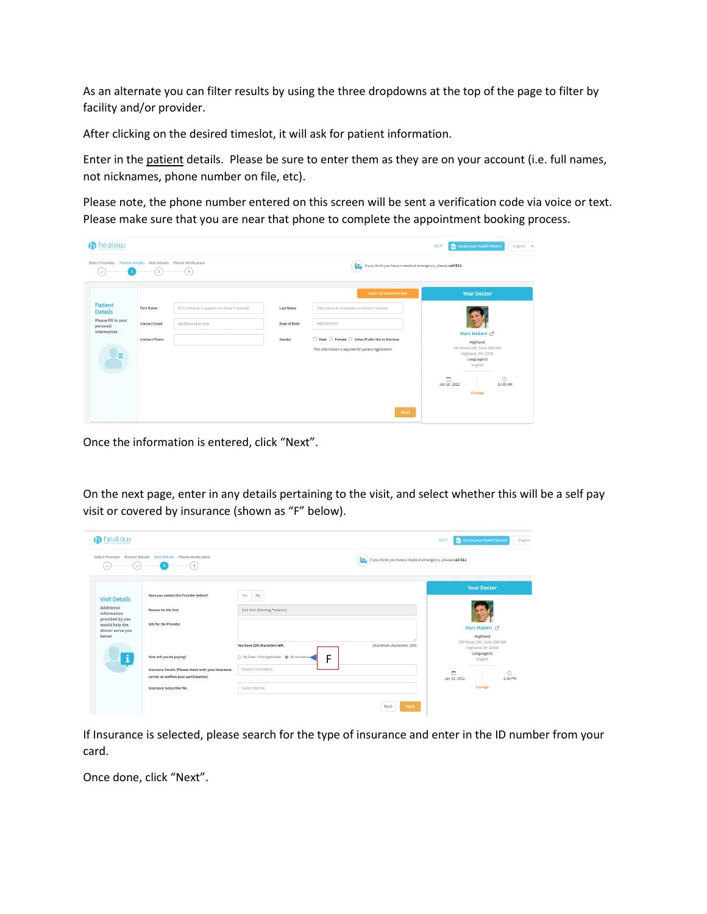As an alternate you can filter results by using the three dropdowns at the top of the page to filter by facility and/or provider.

After clicking on the desired timeslot, it will ask for patient information.

Enter in the patient details. Please be sure to enter them as they are on your account (i.e. full names, not nicknames, phone number on file, etc).

Please note, the phone number entered on this screen will be sent a verification code via voice or text. Please make sure that you are near that phone to complete the appointment booking process.



Once the information is entered, click "Next".

On the next page, enter in any details pertaining to the visit, and select whether this will be a self pay visit or covered by insurance (shown as "F" below).

| <b>n</b> healow                                                                                            |                                                                                                               |                                                  |                                                            | Access your Health Record<br><b>HELP</b>                   |                       | English |
|------------------------------------------------------------------------------------------------------------|---------------------------------------------------------------------------------------------------------------|--------------------------------------------------|------------------------------------------------------------|------------------------------------------------------------|-----------------------|---------|
| $\checkmark$                                                                                               | Select Provider Patient Details Visit Details Phone Verification<br>$\overline{4}$<br>$\overline{\mathbf{3}}$ |                                                  | If you think you have a medical emergency, please call 911 |                                                            |                       |         |
|                                                                                                            | Have you visited this Provider before?                                                                        | <b>No</b><br>Yes                                 |                                                            | <b>Your Doctor</b>                                         |                       |         |
| <b>Visit Details</b><br><b>Additional</b><br><b>Reason for the Visit</b><br>information<br>provided by you |                                                                                                               | Sick Visit (Existing Patients)                   |                                                            |                                                            |                       |         |
| would help the<br>doctor serve you<br>better                                                               | <b>Info for the Provider</b>                                                                                  | You have 250 characters left.                    | (Maximum characters: 250)                                  | Marc Habert O'<br>Highland<br>550 Route 299, Suite 200/300 |                       |         |
| i                                                                                                          | How will you be paying?                                                                                       | ○ By Cash / Not Applicable (@) By Insurance<br>F |                                                            | Highland, NY 12528<br>Language(s)<br>English               |                       |         |
|                                                                                                            | Insurance Details (Please check with your Insurance<br>carrier to confirm plan participation)                 | Search Insurance                                 |                                                            | m<br>Jan 18, 2022                                          | $\bigcirc$<br>2:40 PM |         |
|                                                                                                            | <b>Insurance Subscriber No.</b>                                                                               | Subscriber No.                                   |                                                            | Change                                                     |                       |         |
|                                                                                                            |                                                                                                               |                                                  | Next<br>Back                                               |                                                            |                       |         |

If Insurance is selected, please search for the type of insurance and enter in the ID number from your card.

Once done, click "Next".